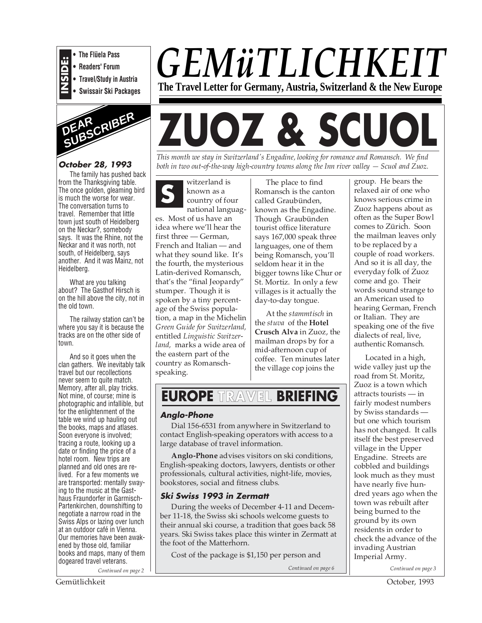

**• Readers' Forum**

- **Travel/Study in Austria**
- **Swissair Ski Packages**



# **October 28, 1993**

The family has pushed back from the Thanksgiving table. The once golden, gleaming bird is much the worse for wear. The conversation turns to travel. Remember that little town just south of Heidelberg on the Neckar?, somebody says. It was the Rhine, not the Neckar and it was north, not south, of Heidelberg, says another. And it was Mainz, not Heidelberg.

What are you talking about? The Gasthof Hirsch is on the hill above the city, not in the old town.

The railway station can't be where you say it is because the tracks are on the other side of town.

*Continued on page 2* And so it goes when the clan gathers. We inevitably talk travel but our recollections never seem to quite match. Memory, after all, play tricks. Not mine, of course; mine is photographic and infallible, but for the enlightenment of the table we wind up hauling out the books, maps and atlases. Soon everyone is involved; tracing a route, looking up a date or finding the price of a hotel room. New trips are planned and old ones are relived. For a few moments we are transported: mentally swaying to the music at the Gasthaus Fraundorfer in Garmisch-Partenkirchen, downshifting to negotiate a narrow road in the Swiss Alps or lazing over lunch at an outdoor café in Vienna. Our memories have been awakened by those old, familiar books and maps, many of them dogeared travel veterans.

*GEMüTLICHKEIT* **The Travel Letter for Germany, Austria, Switzerland & the New Europe**

# **ZUOZ & SCUOL**

*This month we stay in Switzerland's Engadine, looking for romance and Romansch. We find both in two out-of-the-way high-country towns along the Inn river valley — Scuol and Zuoz.*

**S** witzerland is known as a country of four national languag-

es. Most of us have an idea where we'll hear the first three — German, French and Italian — and what they sound like. It's the fourth, the mysterious Latin-derived Romansch, that's the "final Jeopardy" stumper. Though it is spoken by a tiny percentage of the Swiss population, a map in the Michelin *Green Guide for Switzerland,* entitled *Linguistic Switzerland,* marks a wide area of the eastern part of the country as Romanschspeaking.

The place to find Romansch is the canton called Graubünden, known as the Engadine. Though Graubünden tourist office literature says 167,000 speak three languages, one of them being Romansch, you'll seldom hear it in the bigger towns like Chur or St. Mortiz. In only a few villages is it actually the day-to-day tongue.

At the *stammtisch* in the *stuva* of the **Hotel Crusch Alva** in Zuoz, the mailman drops by for a mid-afternoon cup of coffee. Ten minutes later the village cop joins the

# **EUROPE TRAVEL BRIEFING**

# **Anglo-Phone**

Dial 156-6531 from anywhere in Switzerland to contact English-speaking operators with access to a large database of travel information.

**Anglo-Phone** advises visitors on ski conditions, English-speaking doctors, lawyers, dentists or other professionals, cultural activities, night-life, movies, bookstores, social and fitness clubs.

#### **Ski Swiss 1993 in Zermatt**

During the weeks of December 4-11 and December 11-18, the Swiss ski schools welcome guests to their annual ski course, a tradition that goes back 58 years. Ski Swiss takes place this winter in Zermatt at the foot of the Matterhorn.

Cost of the package is \$1,150 per person and

*Continued on page 6*

group. He bears the relaxed air of one who knows serious crime in Zuoz happens about as often as the Super Bowl comes to Zürich. Soon the mailman leaves only to be replaced by a couple of road workers. And so it is all day, the everyday folk of Zuoz come and go. Their words sound strange to an American used to hearing German, French or Italian. They are speaking one of the five dialects of real, live, authentic Romansch.

Located in a high, wide valley just up the road from St. Moritz, Zuoz is a town which attracts tourists — in fairly modest numbers by Swiss standards but one which tourism has not changed. It calls itself the best preserved village in the Upper Engadine. Streets are cobbled and buildings look much as they must have nearly five hundred years ago when the town was rebuilt after being burned to the ground by its own residents in order to check the advance of the invading Austrian Imperial Army.

*Continued on page 3*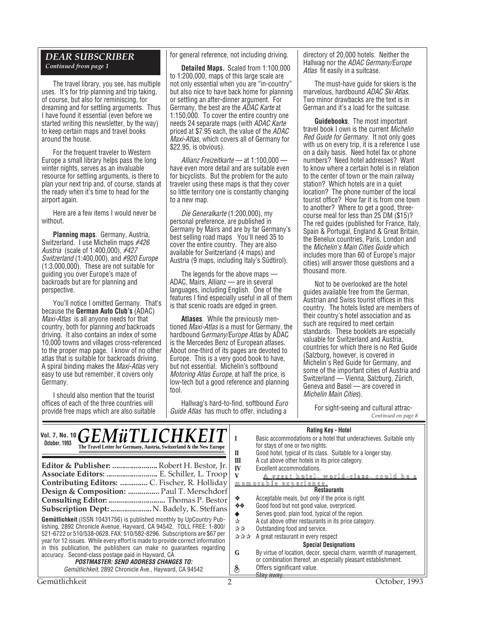#### *DEAR SUBSCRIBER Continued from page 1*

The travel library, you see, has multiple uses. It's for trip planning and trip taking, of course, but also for reminiscing, for dreaming and for settling arguments. Thus I have found it essential (even before we started writing this newsletter, by the way) to keep certain maps and travel books around the house.

For the frequent traveler to Western Europe a small library helps pass the long winter nights, serves as an invaluable resource for settling arguments, is there to plan your next trip and, of course, stands at the ready when it's time to head for the airport again.

Here are a few items I would never be without.

**Planning maps**. Germany, Austria, Switzerland. I use Michelin maps #426 Austria (scale of 1:400,000), #427 Switzerland (1:400,000), and #920 Europe (1:3,000,000). These are not suitable for guiding you over Europe's maze of backroads but are for planning and perspective.

You'll notice I omitted Germany. That's because the **German Auto Club's** (ADAC) Maxi-Atlas is all anyone needs for that country, both for planning *and* backroads driving. It also contains an index of some 10,000 towns and villages cross-referenced to the proper map page. I know of no other atlas that is suitable for backroads driving. A spiral binding makes the Maxi-Atlas very easy to use but remember, it covers only Germany.

I should also mention that the tourist offices of each of the three countries will provide free maps which are also suitable for general reference, not including driving.

**Detailed Maps.** Scaled from 1:100,000 to 1:200,000, maps of this large scale are not only essential when you are "in-country" but also nice to have back home for planning or settling an after-dinner argument. For Germany, the best are the ADAC Karte at 1:150,000. To cover the entire country one needs 24 separate maps (with ADAC Karte priced at \$7.95 each, the value of the ADAC Maxi-Atlas, which covers all of Germany for \$22.95, is obvious).

Allianz Freizeitkarte — at 1:100,000 have even more detail and are suitable even for bicyclists. But the problem for the auto traveler using these maps is that they cover so little territory one is constantly changing to a new map.

Die Generalkarte (1:200,000), my personal preference, are published in Germany by Mairs and are by far Germany's best selling road maps You'll need 35 to cover the entire country. They are also available for Switzerland (4 maps) and Austria (9 maps, including Italy's Südtirol).

The legends for the above maps — ADAC, Mairs, Allianz — are in several languages, including English. One of the features I find especially useful in all of them is that scenic roads are edged in green.

**Atlases**. While the previously mentioned Maxi-Atlas is a must for Germany, the hardbound Germany/Europe Atlas by ADAC is the Mercedes Benz of European atlases. About one-third of its pages are devoted to Europe. This is a very good book to have, but not essential. Michelin's softbound Motoring Atlas Europe, at half the price, is low-tech but a good reference and planning tool.

Hallwag's hard-to-find, softbound Euro Guide Atlas has much to offer, including a

directory of 20,000 hotels. Neither the Hallwag nor the ADAC Germany/Europe Atlas fit easily in a suitcase.

The must-have guide for skiers is the marvelous, hardbound ADAC Ski Atlas. Two minor drawbacks are the text is in German and it's a load for the suitcase.

**Guidebooks**. The most important travel book I own is the current Michelin Red Guide for Germany. It not only goes with us on every trip, it is a reference I use on a daily basis. Need hotel fax or phone numbers? Need hotel addresses? Want to know where a certain hotel is in relation to the center of town or the main railway station? Which hotels are in a quiet location? The phone number of the local tourist office? How far it is from one town to another? Where to get a good, threecourse meal for less than 25 DM (\$15)? The red guides (published for France, Italy, Spain & Portugal, England & Great Britain, the Benelux countries, Paris, London and the Michelin's Main Cities Guide which includes more than 60 of Europe's major cities) will answer those questions and a thousand more.

Not to be overlooked are the hotel guides available free from the German, Austrian and Swiss tourist offices in this country. The hotels listed are members of their country's hotel association and as such are required to meet certain standards. These booklets are especially valuable for Switzerland and Austria, countries for which there is no Red Guide (Salzburg, however, is covered in Michelin's Red Guide for Germany, and some of the important cities of Austria and Switzerland — Vienna, Salzburg, Zürich, Geneva and Basel — are covered in Michelin Main Cities).

For sight-seeing and cultural attrac-<br>Continued on page 8

#### **Rating Key - Hotel**

| Vol. 7, No. 10 $GEM\ddot{u}TLLICHKEI$<br>October, 1993<br>The Travel Letter for Germany, Austria, Switzerland & the New Europe<br>Editor & Publisher:  Robert H. Bestor, Jr.<br>Associate Editors:  E. Schiller, L. Troop<br>Design & Composition:  Paul T. Merschdorf<br>Consulting Editor:  Thomas P. Bestor<br>Subscription Dept:  N. Badely, K. Steffans<br>Gemütlichkeit (ISSN 10431756) is published monthly by UpCountry Pub-                                           | П<br>Ш<br>IV<br>泰<br>- 秦 秦<br>☆ | natility New Protect<br>Basic accommodations or a hotel that underachieves. Suitable only<br>for stays of one or two nights.<br>Good hotel, typical of its class. Suitable for a longer stay.<br>A cut above other hotels in its price category.<br>Excellent accommodations.<br><u>A great hotel, world-class, could be a</u><br><u>memorable experience.</u><br><b>Restaurants</b><br>Acceptable meals, but <i>only</i> if the price is right.<br>Good food but not good value, overpriced.<br>Serves good, plain food, typical of the region.<br>A cut above other restaurants in its price category. |
|--------------------------------------------------------------------------------------------------------------------------------------------------------------------------------------------------------------------------------------------------------------------------------------------------------------------------------------------------------------------------------------------------------------------------------------------------------------------------------|---------------------------------|----------------------------------------------------------------------------------------------------------------------------------------------------------------------------------------------------------------------------------------------------------------------------------------------------------------------------------------------------------------------------------------------------------------------------------------------------------------------------------------------------------------------------------------------------------------------------------------------------------|
| lishing, 2892 Chronicle Avenue, Hayward, CA 94542. TOLL FREE: 1-800/<br>521-6722 or 510/538-0628. FAX: 510/582-8296. Subscriptions are \$67 per<br>year for 12 issues. While every effort is made to provide correct information<br>in this publication, the publishers can make no quarantees regarding<br>accuracy. Second-class postage paid in Hayward, CA.<br><i><b>POSTMASTER: SEND ADDRESS CHANGES TO:</b></i><br>Gemütlichkeit, 2892 Chronicle Ave., Hayward, CA 94542 | 자자<br>G<br>S                    | Outstanding food and service.<br>☆☆☆ A great restaurant in every respect<br><b>Special Designations</b><br>By virtue of location, decor, special charm, warmth of management,<br>or combination thereof, an especially pleasant establishment.<br>Offers significant value.<br>Stay away.                                                                                                                                                                                                                                                                                                                |
| Gemütlichkeit                                                                                                                                                                                                                                                                                                                                                                                                                                                                  |                                 | October, 1993                                                                                                                                                                                                                                                                                                                                                                                                                                                                                                                                                                                            |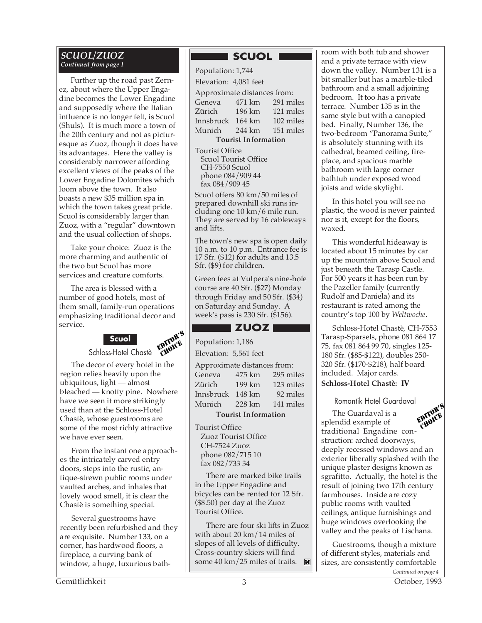#### *SCUOL/ZUOZ Continued from page 1*

Further up the road past Zernez, about where the Upper Engadine becomes the Lower Engadine and supposedly where the Italian influence is no longer felt, is Scuol (Shuls). It is much more a town of the 20th century and not as picturesque as Zuoz, though it does have its advantages. Here the valley is considerably narrower affording excellent views of the peaks of the Lower Engadine Dolomites which loom above the town. It also boasts a new \$35 million spa in which the town takes great pride. Scuol is considerably larger than Zuoz, with a "regular" downtown and the usual collection of shops.

Take your choice: Zuoz is the more charming and authentic of the two but Scuol has more services and creature comforts.

EDITOR'S The area is blessed with a number of good hotels, most of them small, family-run operations emphasizing traditional decor and service.



The decor of every hotel in the region relies heavily upon the ubiquitous, light — almost bleached — knotty pine. Nowhere have we seen it more strikingly used than at the Schloss-Hotel Chastè, whose guestrooms are some of the most richly attractive we have ever seen. CHOICE

From the instant one approaches the intricately carved entry doors, steps into the rustic, antique-strewn public rooms under vaulted arches, and inhales that lovely wood smell, it is clear the Chastè is something special.

Several guestrooms have recently been refurbished and they are exquisite. Number 133, on a corner, has hardwood floors, a fireplace, a curving bank of window, a huge, luxurious bath-

# **SCUOL**

| Population: 1,744                                                                                              |  |  |  |  |  |  |
|----------------------------------------------------------------------------------------------------------------|--|--|--|--|--|--|
| Elevation: 4,081 feet                                                                                          |  |  |  |  |  |  |
| Approximate distances from:                                                                                    |  |  |  |  |  |  |
| Geneva 471 km 291 miles                                                                                        |  |  |  |  |  |  |
| Zürich 196 km 121 miles                                                                                        |  |  |  |  |  |  |
| Innsbruck 164 km 102 miles                                                                                     |  |  |  |  |  |  |
| Munich 244 km 151 miles                                                                                        |  |  |  |  |  |  |
| <b>Tourist Information</b>                                                                                     |  |  |  |  |  |  |
| <b>Tourist Office</b><br>$\mathcal{L}_{\text{coul}}$ $\Gamma_{\text{coul}}$ $\cap$ $\mathcal{L}_{\text{free}}$ |  |  |  |  |  |  |

Scuol Tourist Office CH-7550 Scuol phone 084/909 44 fax 084/909 45

Scuol offers 80 km/50 miles of prepared downhill ski runs including one 10 km/6 mile run. They are served by 16 cableways and lifts.

The town's new spa is open daily 10 a.m. to 10 p.m. Entrance fee is 17 Sfr. (\$12) for adults and 13.5 Sfr. (\$9) for children.

Green fees at Vulpera's nine-hole course are 40 Sfr. (\$27) Monday through Friday and 50 Sfr. (\$34) on Saturday and Sunday. A week's pass is 230 Sfr. (\$156).

# **ZUOZ** I

Population: 1,186

Elevation: 5,561 feet

| Approximate distances from: |        |           |  |  |  |  |  |
|-----------------------------|--------|-----------|--|--|--|--|--|
| Geneva                      | 475 km | 295 miles |  |  |  |  |  |
| Zürich                      | 199 km | 123 miles |  |  |  |  |  |
| Innsbruck                   | 148 km | 92 miles  |  |  |  |  |  |
| Munich                      | 228 km | 141 miles |  |  |  |  |  |
|                             |        |           |  |  |  |  |  |

**Tourist Information**

Tourist Office Zuoz Tourist Office CH-7524 Zuoz phone 082/715 10 fax 082/733 34

There are marked bike trails in the Upper Engadine and bicycles can be rented for 12 Sfr. (\$8.50) per day at the Zuoz Tourist Office.

There are four ski lifts in Zuoz with about 20 km/14 miles of slopes of all levels of difficulty. Cross-country skiers will find some 40 km/25 miles of trails.  $\blacksquare$  room with both tub and shower and a private terrace with view down the valley. Number 131 is a bit smaller but has a marble-tiled bathroom and a small adjoining bedroom. It too has a private terrace. Number 135 is in the same style but with a canopied bed. Finally, Number 136, the two-bedroom "Panorama Suite," is absolutely stunning with its cathedral, beamed ceiling, fireplace, and spacious marble bathroom with large corner bathtub under exposed wood joists and wide skylight.

In this hotel you will see no plastic, the wood is never painted nor is it, except for the floors, waxed.

This wonderful hideaway is located about 15 minutes by car up the mountain above Scuol and just beneath the Tarasp Castle. For 500 years it has been run by the Pazeller family (currently Rudolf and Daniela) and its restaurant is rated among the country's top 100 by *Weltwoche*.

Schloss-Hotel Chastè, CH-7553 Tarasp-Sparsels, phone 081 864 17 75, fax 081 864 99 70, singles 125- 180 Sfr. (\$85-\$122), doubles 250- 320 Sfr. (\$170-\$218), half board included. Major cards. **Schloss-Hotel Chastè: IV**

Romantik Hotel Guardaval

The Guardaval is a splendid example of traditional Engadine construction: arched doorways, deeply recessed windows and an exterior liberally splashed with the unique plaster designs known as sgrafitto. Actually, the hotel is the result of joining two 17th century farmhouses. Inside are cozy public rooms with vaulted ceilings, antique furnishings and huge windows overlooking the valley and the peaks of Lischana. EDITOR'S CHOICE

*Continued on page 4* Guestrooms, though a mixture of different styles, materials and sizes, are consistently comfortable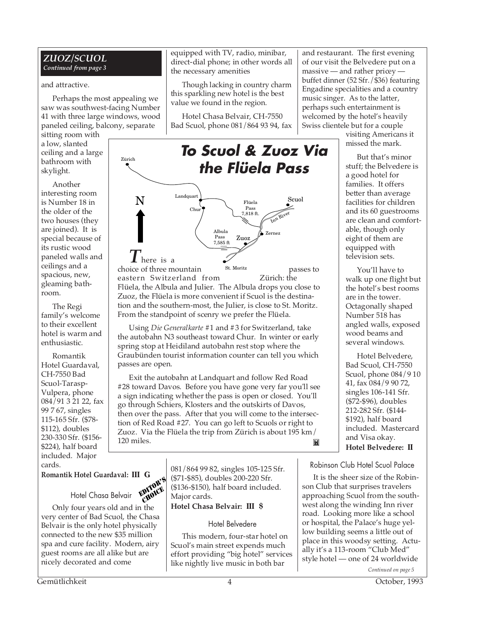#### *ZUOZ/SCUOL Continued from page 3*

#### and attractive.

Perhaps the most appealing we saw was southwest-facing Number 41 with three large windows, wood paneled ceiling, balcony, separate

sitting room with a low, slanted ceiling and a large bathroom with skylight.

Another interesting room is Number 18 in the older of the two houses (they are joined). It is special because of its rustic wood paneled walls and ceilings and a spacious, new, gleaming bathroom.

The Regi family's welcome to their excellent hotel is warm and enthusiastic.

Romantik Hotel Guardaval, CH-7550 Bad Scuol-Tarasp-Vulpera, phone 084/91 3 21 22, fax 99 7 67, singles 115-165 Sfr. (\$78- \$112), doubles 230-330 Sfr. (\$156- \$224), half board included. Major cards.

equipped with TV, radio, minibar, direct-dial phone; in other words all the necessary amenities

Though lacking in country charm this sparkling new hotel is the best value we found in the region.

Hotel Chasa Belvair, CH-7550 Bad Scuol, phone 081/864 93 94, fax



From the standpoint of scenry we prefer the Flüela. Using *Die Generalkarte* #1 and #3 for Switzerland, take the autobahn N3 southeast toward Chur. In winter or early spring stop at Heidiland autobahn rest stop where the Graubünden tourist information counter can tell you which passes are open.

Exit the autobahn at Landquart and follow Red Road #28 toward Davos. Before you have gone very far you'll see a sign indicating whether the pass is open or closed. You'll go through Schiers, Klosters and the outskirts of Davos, then over the pass. After that you will come to the intersection of Red Road #27. You can go left to Scuols or right to Zuoz. Via the Flüela the trip from Zürich is about 195 km/ 120 miles. M

**Romantik Hotel Guardaval: III G**



Only four years old and in the very center of Bad Scuol, the Chasa Belvair is the only hotel physically connected to the new \$35 million spa and cure facility. Modern, airy guest rooms are all alike but are nicely decorated and come

081/864 99 82, singles 105-125 Sfr. (\$71-\$85), doubles 200-220 Sfr. (\$136-\$150), half board included. Major cards.

**Hotel Chasa Belvair: III \$**

#### Hotel Belvedere

This modern, four-star hotel on Scuol's main street expends much effort providing "big hotel" services like nightly live music in both bar

and restaurant. The first evening of our visit the Belvedere put on a massive — and rather pricey buffet dinner (52 Sfr./\$36) featuring Engadine specialities and a country music singer. As to the latter, perhaps such entertainment is welcomed by the hotel's heavily Swiss clientele but for a couple

visiting Americans it missed the mark.

But that's minor stuff; the Belvedere is a good hotel for families. It offers better than average facilities for children and its 60 guestrooms are clean and comfortable, though only eight of them are equipped with television sets.

You'll have to walk up one flight but the hotel's best rooms are in the tower. Octagonally shaped Number 518 has angled walls, exposed wood beams and several windows.

Hotel Belvedere, Bad Scuol, CH-7550 Scuol, phone 084/9 10 41, fax 084/9 90 72, singles 106-141 Sfr. (\$72-\$96), doubles 212-282 Sfr. (\$144- \$192), half board included. Mastercard and Visa okay. **Hotel Belvedere: II**

Robinson Club Hotel Scuol Palace

It is the sheer size of the Robinson Club that surprises travelers approaching Scuol from the southwest along the winding Inn river road. Looking more like a school or hospital, the Palace's huge yellow building seems a little out of place in this woodsy setting. Actually it's a 113-room "Club Med" style hotel — one of 24 worldwide

*Continued on page 5*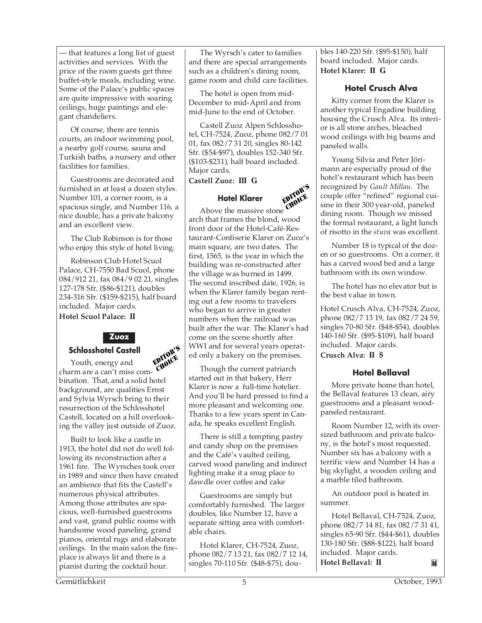— that features a long list of guest activities and services. With the price of the room guests get three buffet-style meals, including wine. Some of the Palace's public spaces are quite impressive with soaring ceilings, huge paintings and elegant chandeliers.

Of course, there are tennis courts, an indoor swimming pool, a nearby golf course, sauna and Turkish baths, a nursery and other facilities for families.

Guestrooms are decorated and furnished in at least a dozen styles. Number 101, a corner room, is a spacious single, and Number 116, a nice double, has a private balcony and an excellent view.

The Club Robinson is for those who enjoy this style of hotel living.

Robinson Club Hotel Scuol Palace, CH-7550 Bad Scuol, phone 084/912 21, fax 084/9 02 21, singles 127-178 Sfr. (\$86-\$121), doubles 234-316 Sfr. (\$159-\$215), half board included. Major cards. **Hotel Scuol Palace: II**



# **Schlosshotel Castell**

Youth, energy and charm are a can't miss combination. That, and a solid hotel background, are qualities Ernst and Sylvia Wyrsch bring to their resurrection of the Schlosshotel Castell, located on a hill overlooking the valley just outside of Zuoz. EDITOR'S **CHOICE** 

Built to look like a castle in 1913, the hotel did not do well following its reconstruction after a 1961 fire. The Wyrsches took over in 1989 and since then have created an ambience that fits the Castell's numerous physical attributes. Among those attributes are spacious, well-furnished guestrooms and vast, grand public rooms with handsome wood paneling, grand pianos, oriental rugs and elaborate ceilings. In the main salon the fireplace is always lit and there is a pianist during the cocktail hour.

The Wyrsch's cater to families and there are special arrangements such as a children's dining room, game room and child care facilities.

The hotel is open from mid-December to mid-April and from mid-June to the end of October.

Castell Zuoz Alpen Schlosshotel, CH-7524, Zuoz, phone 082/7 01 01, fax 082/7 31 20, singles 80-142 Sfr. (\$54-\$97), doubles 152-340 Sfr. (\$103-\$231), half board included. Major cards.

**Castell Zuoz: III G**

#### **Hotel Klarer**

Above the massive stone arch that frames the blond, wood front door of the Hotel-Café-Restaurant-Confiserie Klarer on Zuoz's main square, are two dates. The first, 1565, is the year in which the building was re-constructed after the village was burned in 1499. The second inscribed date, 1926, is when the Klarer family began renting out a few rooms to travelers who began to arrive in greater numbers when the railroad was built after the war. The Klarer's had come on the scene shortly after WWI and for several years operated only a bakery on the premises. EDITOR'S CHOICE<sup>S</sup>

Though the current patriarch started out in that bakery, Herr Klarer is now a full-time hotelier. And you'll be hard pressed to find a more pleasant and welcoming one. Thanks to a few years spent in Canada, he speaks excellent English.

There is still a tempting pastry and candy shop on the premises and the Café's vaulted ceiling, carved wood paneling and indirect lighting make it a snug place to dawdle over coffee and cake

Guestrooms are simply but comfortably furnished. The larger doubles, like Number 12, have a separate sitting area with comfortable chairs.

Hotel Klarer, CH-7524, Zuoz, phone 082/7 13 21, fax 082/7 12 14, singles 70-110 Sfr. (\$48-\$75), doubles 140-220 Sfr. (\$95-\$150), half board included. Major cards. **Hotel Klarer: II G**

#### **Hotel Crusch Alva**

Kitty corner from the Klarer is another typical Engadine building housing the Crusch Alva. Its interior is all stone arches, bleached wood ceilings with big beams and paneled walls.

Young Silvia and Peter Jörimann are especially proud of the hotel's restaurant which has been recognized by *Gault Millau*. The couple offer "refined" regional cuisine in their 300 year-old, paneled dining room. Though we missed the formal restaurant, a light lunch of risotto in the *stuva* was excellent.

Number 18 is typical of the dozen or so guestrooms. On a corner, it has a carved wood bed and a large bathroom with its own window.

The hotel has no elevator but is the best value in town.

Hotel Crusch Alva, CH-7524, Zuoz, phone 082/7 13 19, fax 082/7 24 59, singles 70-80 Sfr. (\$48-\$54), doubles 140-160 Sfr. (\$95-\$109), half board included. Major cards. **Crusch Alva: II \$**

#### **Hotel Bellaval**

More private home than hotel, the Bellaval features 13 clean, airy guestrooms and a pleasant woodpaneled restaurant.

Room Number 12, with its oversized bathroom and private balcony, is the hotel's most requested. Number six has a balcony with a terrific view and Number 14 has a big skylight, a wooden ceiling and a marble tiled bathroom.

An outdoor pool is heated in summer.

Hotel Bellaval, CH-7524, Zuoz, phone 082/7 14 81, fax 082/7 31 41, singles 65-90 Sfr. (\$44-\$61), doubles 130-180 Sfr. (\$88-\$122), half board included. Major cards. **Hotel Bellaval: II** M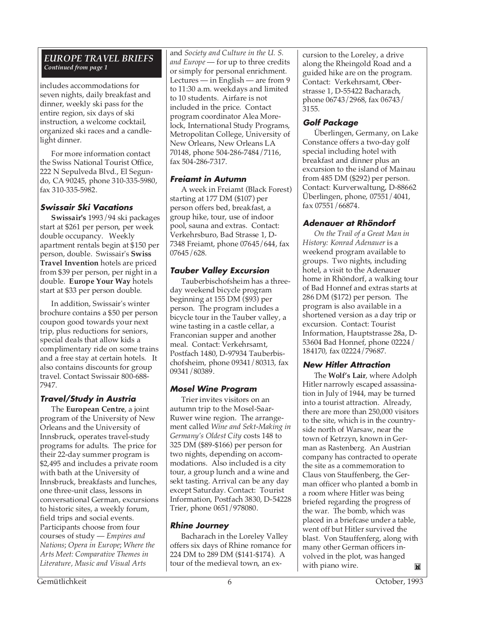#### *EUROPE TRAVEL BRIEFS Continued from page 1*

includes accommodations for seven nights, daily breakfast and dinner, weekly ski pass for the entire region, six days of ski instruction, a welcome cocktail, organized ski races and a candlelight dinner.

For more information contact the Swiss National Tourist Office, 222 N Sepulveda Blvd., El Segundo, CA 90245, phone 310-335-5980, fax 310-335-5982.

# **Swissair Ski Vacations**

**Swissair's** 1993/94 ski packages start at \$261 per person, per week double occupancy. Weekly apartment rentals begin at \$150 per person, double. Swissair's **Swiss Travel Invention** hotels are priced from \$39 per person, per night in a double. **Europe Your Way** hotels start at \$33 per person double.

In addition, Swissair's winter brochure contains a \$50 per person coupon good towards your next trip, plus reductions for seniors, special deals that allow kids a complimentary ride on some trains and a free stay at certain hotels. It also contains discounts for group travel. Contact Swissair 800-688- 7947.

# **Travel/Study in Austria**

The **European Centre**, a joint program of the University of New Orleans and the University of Innsbruck, operates travel-study programs for adults. The price for their 22-day summer program is \$2,495 and includes a private room with bath at the University of Innsbruck, breakfasts and lunches, one three-unit class, lessons in conversational German, excursions to historic sites, a weekly forum, field trips and social events. Participants choose from four courses of study — *Empires and Nations*; *Opera in Europe*; *Where the Arts Meet: Comparative Themes in Literature, Music and Visual Arts*

and *Society and Culture in the U. S. and Europe* — for up to three credits or simply for personal enrichment. Lectures — in English — are from 9 to 11:30 a.m. weekdays and limited to 10 students. Airfare is not included in the price. Contact program coordinator Alea Morelock, International Study Programs, Metropolitan College, University of New Orleans, New Orleans LA 70148, phone 504-286-7484/7116, fax 504-286-7317.

#### **Freiamt in Autumn**

A week in Freiamt (Black Forest) starting at 177 DM (\$107) per person offers bed, breakfast, a group hike, tour, use of indoor pool, sauna and extras. Contact: Verkehrsburo, Bad Strasse 1, D-7348 Freiamt, phone 07645/644, fax 07645/628.

# **Tauber Valley Excursion**

Tauberbischofsheim has a threeday weekend bicycle program beginning at 155 DM (\$93) per person. The program includes a bicycle tour in the Tauber valley, a wine tasting in a castle cellar, a Franconian supper and another meal. Contact: Verkehrsamt, Postfach 1480, D-97934 Tauberbischofsheim, phone 09341/80313, fax 09341/80389.

# **Mosel Wine Program**

Trier invites visitors on an autumn trip to the Mosel-Saar-Ruwer wine region. The arrangement called *Wine and Sekt-Making in Germany's Oldest City* costs 148 to 325 DM (\$89-\$166) per person for two nights, depending on accommodations. Also included is a city tour, a group lunch and a wine and sekt tasting. Arrival can be any day except Saturday. Contact: Tourist Information, Postfach 3830, D-54228 Trier, phone 0651/978080.

# **Rhine Journey**

Bacharach in the Loreley Valley offers six days of Rhine romance for 224 DM to 289 DM (\$141-\$174). A tour of the medieval town, an excursion to the Loreley, a drive along the Rheingold Road and a guided hike are on the program. Contact: Verkehrsamt, Oberstrasse 1, D-55422 Bacharach, phone 06743/2968, fax 06743/ 3155.

#### **Golf Package**

Überlingen, Germany, on Lake Constance offers a two-day golf special including hotel with breakfast and dinner plus an excursion to the island of Mainau from 485 DM (\$292) per person. Contact: Kurverwaltung, D-88662 Überlingen, phone, 07551/4041, fax 07551/66874.

#### **Adenauer at Rhöndorf**

*On the Trail of a Great Man in History: Konrad Adenauer* is a weekend program available to groups. Two nights, including hotel, a visit to the Adenauer home in Rhöndorf, a walking tour of Bad Honnef and extras starts at 286 DM (\$172) per person. The program is also available in a shortened version as a day trip or excursion. Contact: Tourist Information, Hauptstrasse 28a, D-53604 Bad Honnef, phone 02224/ 184170, fax 02224/79687.

#### **New Hitler Attraction**

The **Wolf's Lair**, where Adolph Hitler narrowly escaped assassination in July of 1944, may be turned into a tourist attraction. Already, there are more than 250,000 visitors to the site, which is in the countryside north of Warsaw, near the town of Ketrzyn, known in German as Rastenberg. An Austrian company has contracted to operate the site as a commemoration to Claus von Stauffenberg, the German officer who planted a bomb in a room where Hitler was being briefed regarding the progress of the war. The bomb, which was placed in a briefcase under a table, went off but Hitler survived the blast. Von Stauffenferg, along with many other German officers involved in the plot, was hanged with piano wire. M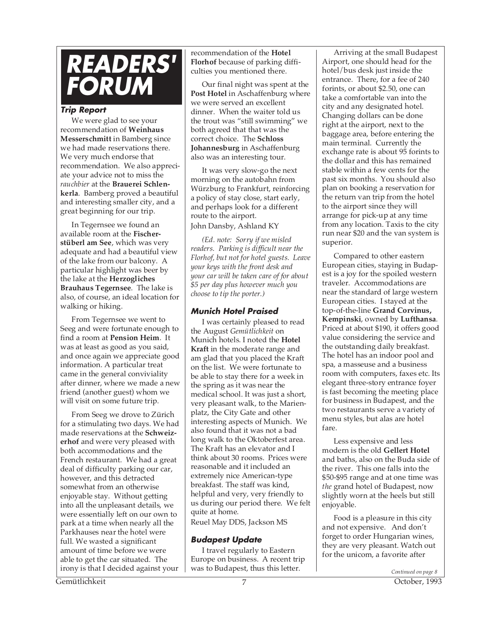

#### **Trip Report**

We were glad to see your recommendation of **Weinhaus Messerschmitt** in Bamberg since we had made reservations there. We very much endorse that recommendation. We also appreciate your advice not to miss the *rauchbier* at the **Brauerei Schlenkerla**. Bamberg proved a beautiful and interesting smaller city, and a great beginning for our trip.

In Tegernsee we found an available room at the **Fischerstüberl am See**, which was very adequate and had a beautiful view of the lake from our balcony. A particular highlight was beer by the lake at the **Herzogliches Brauhaus Tegernsee**. The lake is also, of course, an ideal location for walking or hiking.

From Tegernsee we went to Seeg and were fortunate enough to find a room at **Pension Heim**. It was at least as good as you said, and once again we appreciate good information. A particular treat came in the general conviviality after dinner, where we made a new friend (another guest) whom we will visit on some future trip.

From Seeg we drove to Zürich for a stimulating two days. We had made reservations at the **Schweizerhof** and were very pleased with both accommodations and the French restaurant. We had a great deal of difficulty parking our car, however, and this detracted somewhat from an otherwise enjoyable stay. Without getting into all the unpleasant details, we were essentially left on our own to park at a time when nearly all the Parkhauses near the hotel were full. We wasted a significant amount of time before we were able to get the car situated. The irony is that I decided against your recommendation of the **Hotel Florhof** because of parking difficulties you mentioned there.

Our final night was spent at the **Post Hotel** in Aschaffenburg where we were served an excellent dinner. When the waiter told us the trout was "still swimming" we both agreed that that was the correct choice. The **Schloss Johannesburg** in Aschaffenburg also was an interesting tour.

It was very slow-go the next morning on the autobahn from Würzburg to Frankfurt, reinforcing a policy of stay close, start early, and perhaps look for a different route to the airport. John Dansby, Ashland KY

*(Ed. note: Sorry if we misled readers. Parking is difficult near the*

*Florhof, but not for hotel guests. Leave your keys with the front desk and your car will be taken care of for about \$5 per day plus however much you choose to tip the porter.)*

#### **Munich Hotel Praised**

I was certainly pleased to read the August *Gemütlichkeit* on Munich hotels. I noted the **Hotel Kraft** in the moderate range and am glad that you placed the Kraft on the list. We were fortunate to be able to stay there for a week in the spring as it was near the medical school. It was just a short, very pleasant walk, to the Marienplatz, the City Gate and other interesting aspects of Munich. We also found that it was not a bad long walk to the Oktoberfest area. The Kraft has an elevator and I think about 30 rooms. Prices were reasonable and it included an extremely nice American-type breakfast. The staff was kind, helpful and very, very friendly to us during our period there. We felt quite at home.

#### Reuel May DDS, Jackson MS

# **Budapest Update**

I travel regularly to Eastern Europe on business. A recent trip was to Budapest, thus this letter.

Arriving at the small Budapest Airport, one should head for the hotel/bus desk just inside the entrance. There, for a fee of 240 forints, or about \$2.50, one can take a comfortable van into the city and any designated hotel. Changing dollars can be done right at the airport, next to the baggage area, before entering the main terminal. Currently the exchange rate is about 95 forints to the dollar and this has remained stable within a few cents for the past six months. You should also plan on booking a reservation for the return van trip from the hotel to the airport since they will arrange for pick-up at any time from any location. Taxis to the city run near \$20 and the van system is superior.

Compared to other eastern European cities, staying in Budapest is a joy for the spoiled western traveler. Accommodations are near the standard of large western European cities. I stayed at the top-of-the-line **Grand Corvinus, Kempinski**, owned by **Lufthansa**. Priced at about \$190, it offers good value considering the service and the outstanding daily breakfast. The hotel has an indoor pool and spa, a masseuse and a business room with computers, faxes etc. Its elegant three-story entrance foyer is fast becoming the meeting place for business in Budapest, and the two restaurants serve a variety of menu styles, but alas are hotel fare.

Less expensive and less modern is the old **Gellert Hotel** and baths, also on the Buda side of the river. This one falls into the \$50-\$95 range and at one time was *the* grand hotel of Budapest, now slightly worn at the heels but still enjoyable.

Food is a pleasure in this city and not expensive. And don't forget to order Hungarian wines, they are very pleasant. Watch out for the unicom, a favorite after